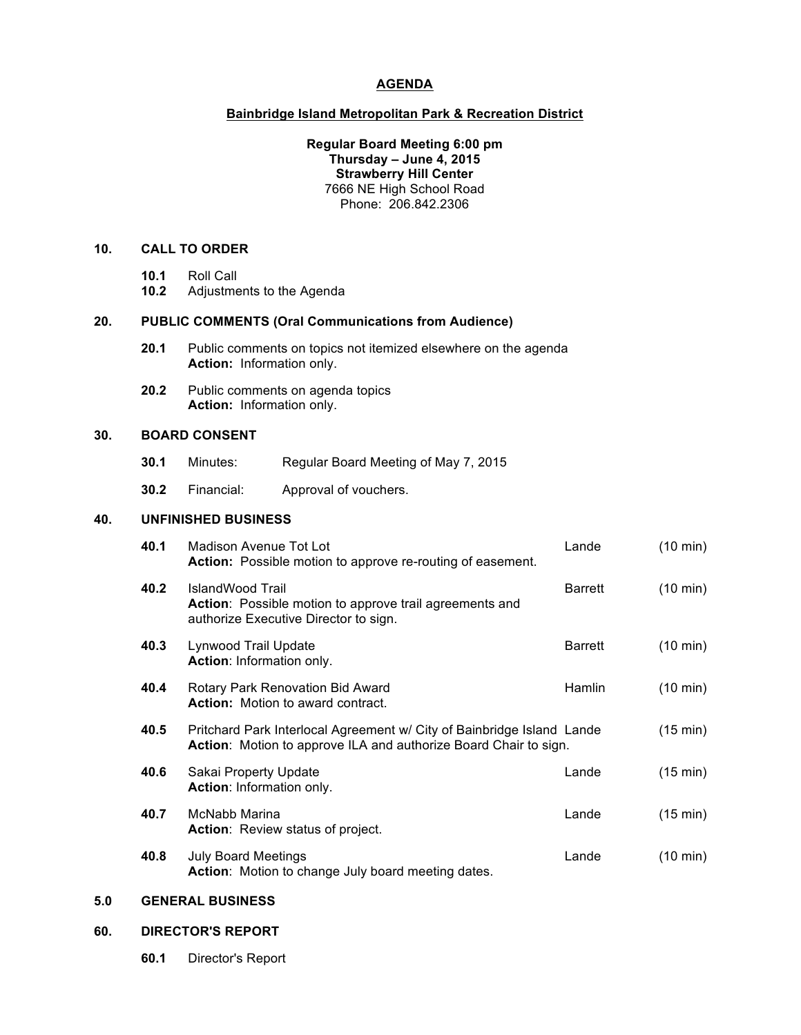## **AGENDA**

# **Bainbridge Island Metropolitan Park & Recreation District**

### **Regular Board Meeting 6:00 pm Thursday – June 4, 2015 Strawberry Hill Center** 7666 NE High School Road Phone: 206.842.2306

#### **10. CALL TO ORDER**

- **10.1** Roll Call
- **10.2** Adjustments to the Agenda

#### **20. PUBLIC COMMENTS (Oral Communications from Audience)**

- **20.1** Public comments on topics not itemized elsewhere on the agenda **Action:** Information only.
- **20.2** Public comments on agenda topics **Action:** Information only.

### **30. BOARD CONSENT**

- **30.1** Minutes: Regular Board Meeting of May 7, 2015
- **30.2** Financial: Approval of vouchers.

## **40. UNFINISHED BUSINESS**

| 40.1 | Madison Avenue Tot Lot<br><b>Action:</b> Possible motion to approve re-routing of easement.                                                | Lande          | $(10 \text{ min})$ |
|------|--------------------------------------------------------------------------------------------------------------------------------------------|----------------|--------------------|
| 40.2 | IslandWood Trail<br>Action: Possible motion to approve trail agreements and<br>authorize Executive Director to sign.                       | <b>Barrett</b> | $(10 \text{ min})$ |
| 40.3 | Lynwood Trail Update<br>Action: Information only.                                                                                          | <b>Barrett</b> | $(10 \text{ min})$ |
| 40.4 | Rotary Park Renovation Bid Award<br><b>Action:</b> Motion to award contract.                                                               | Hamlin         | $(10 \text{ min})$ |
| 40.5 | Pritchard Park Interlocal Agreement w/ City of Bainbridge Island Lande<br>Action: Motion to approve ILA and authorize Board Chair to sign. |                | $(15 \text{ min})$ |
| 40.6 | Sakai Property Update<br>Action: Information only.                                                                                         | Lande          | $(15 \text{ min})$ |
| 40.7 | McNabb Marina<br>Action: Review status of project.                                                                                         | Lande          | $(15 \text{ min})$ |
| 40.8 | <b>July Board Meetings</b><br>Action: Motion to change July board meeting dates.                                                           | Lande          | $(10 \text{ min})$ |

### **5.0 GENERAL BUSINESS**

### **60. DIRECTOR'S REPORT**

**60.1** Director's Report